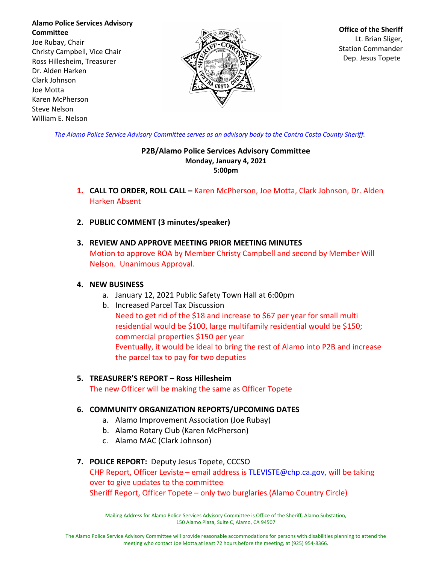**Alamo Police Services Advisory Committee** Joe Rubay, Chair Christy Campbell, Vice Chair Ross Hillesheim, Treasurer Dr. Alden Harken Clark Johnson Joe Motta Karen McPherson Steve Nelson William E. Nelson



**Office of the Sheriff** Lt. Brian Sliger, Station Commander Dep. Jesus Topete

*The Alamo Police Service Advisory Committee serves as an advisory body to the Contra Costa County Sheriff.*

#### **P2B/Alamo Police Services Advisory Committee Monday, January 4, 2021 5:00pm**

- **1. CALL TO ORDER, ROLL CALL –** Karen McPherson, Joe Motta, Clark Johnson, Dr. Alden Harken Absent
- **2. PUBLIC COMMENT (3 minutes/speaker)**
- **3. REVIEW AND APPROVE MEETING PRIOR MEETING MINUTES** Motion to approve ROA by Member Christy Campbell and second by Member Will Nelson. Unanimous Approval.

### **4. NEW BUSINESS**

- a. January 12, 2021 Public Safety Town Hall at 6:00pm
- b. Increased Parcel Tax Discussion Need to get rid of the \$18 and increase to \$67 per year for small multi residential would be \$100, large multifamily residential would be \$150; commercial properties \$150 per year Eventually, it would be ideal to bring the rest of Alamo into P2B and increase the parcel tax to pay for two deputies

### **5. TREASURER'S REPORT – Ross Hillesheim** The new Officer will be making the same as Officer Topete

# **6. COMMUNITY ORGANIZATION REPORTS/UPCOMING DATES**

- a. Alamo Improvement Association (Joe Rubay)
- b. Alamo Rotary Club (Karen McPherson)
- c. Alamo MAC (Clark Johnson)

# **7. POLICE REPORT:** Deputy Jesus Topete, CCCSO

# CHP Report, Officer Leviste – email address is TLEVISTE@chp.ca.gov, will be taking over to give updates to the committee Sheriff Report, Officer Topete – only two burglaries (Alamo Country Circle)

Mailing Address for Alamo Police Services Advisory Committee is Office of the Sheriff, Alamo Substation, 150 Alamo Plaza, Suite C, Alamo, CA 94507